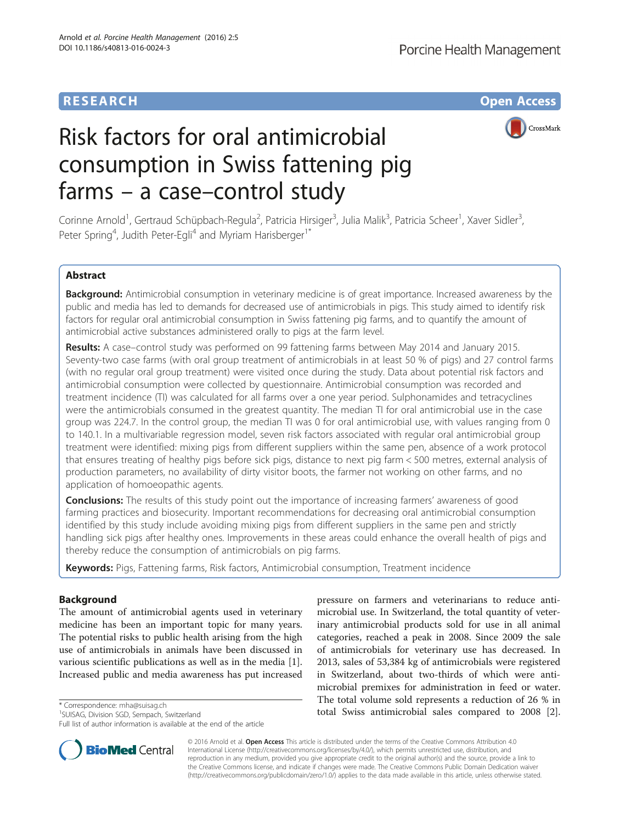## **RESEARCH CHE Open Access**

CrossMark

# Risk factors for oral antimicrobial consumption in Swiss fattening pig farms – a case–control study

Corinne Arnold<sup>1</sup>, Gertraud Schüpbach-Regula<sup>2</sup>, Patricia Hirsiger<sup>3</sup>, Julia Malik<sup>3</sup>, Patricia Scheer<sup>1</sup>, Xaver Sidler<sup>3</sup> , Peter Spring<sup>4</sup>, Judith Peter-Egli<sup>4</sup> and Myriam Harisberger<sup>1\*</sup>

## Abstract

Background: Antimicrobial consumption in veterinary medicine is of great importance. Increased awareness by the public and media has led to demands for decreased use of antimicrobials in pigs. This study aimed to identify risk factors for regular oral antimicrobial consumption in Swiss fattening pig farms, and to quantify the amount of antimicrobial active substances administered orally to pigs at the farm level.

Results: A case–control study was performed on 99 fattening farms between May 2014 and January 2015. Seventy-two case farms (with oral group treatment of antimicrobials in at least 50 % of pigs) and 27 control farms (with no regular oral group treatment) were visited once during the study. Data about potential risk factors and antimicrobial consumption were collected by questionnaire. Antimicrobial consumption was recorded and treatment incidence (TI) was calculated for all farms over a one year period. Sulphonamides and tetracyclines were the antimicrobials consumed in the greatest quantity. The median TI for oral antimicrobial use in the case group was 224.7. In the control group, the median TI was 0 for oral antimicrobial use, with values ranging from 0 to 140.1. In a multivariable regression model, seven risk factors associated with regular oral antimicrobial group treatment were identified: mixing pigs from different suppliers within the same pen, absence of a work protocol that ensures treating of healthy pigs before sick pigs, distance to next pig farm < 500 metres, external analysis of production parameters, no availability of dirty visitor boots, the farmer not working on other farms, and no application of homoeopathic agents.

**Conclusions:** The results of this study point out the importance of increasing farmers' awareness of good farming practices and biosecurity. Important recommendations for decreasing oral antimicrobial consumption identified by this study include avoiding mixing pigs from different suppliers in the same pen and strictly handling sick pigs after healthy ones. Improvements in these areas could enhance the overall health of pigs and thereby reduce the consumption of antimicrobials on pig farms.

Keywords: Pigs, Fattening farms, Risk factors, Antimicrobial consumption, Treatment incidence

## Background

The amount of antimicrobial agents used in veterinary medicine has been an important topic for many years. The potential risks to public health arising from the high use of antimicrobials in animals have been discussed in various scientific publications as well as in the media [\[1](#page--1-0)]. Increased public and media awareness has put increased

<sup>1</sup>SUISAG, Division SGD, Sempach, Switzerland

pressure on farmers and veterinarians to reduce antimicrobial use. In Switzerland, the total quantity of veterinary antimicrobial products sold for use in all animal categories, reached a peak in 2008. Since 2009 the sale of antimicrobials for veterinary use has decreased. In 2013, sales of 53,384 kg of antimicrobials were registered in Switzerland, about two-thirds of which were antimicrobial premixes for administration in feed or water. The total volume sold represents a reduction of 26 % in the correspondence: [mha@suisag.ch](mailto:mha@suisag.ch)<br>
<sup>1</sup>SUISAG, Division SGD, Sempach, Switzerland<br> **19SUISAG, Division SGD, Sempach, Switzerland 1988 1998 1999 10** 



© 2016 Arnold et al. Open Access This article is distributed under the terms of the Creative Commons Attribution 4.0 International License [\(http://creativecommons.org/licenses/by/4.0/](http://creativecommons.org/licenses/by/4.0/)), which permits unrestricted use, distribution, and reproduction in any medium, provided you give appropriate credit to the original author(s) and the source, provide a link to the Creative Commons license, and indicate if changes were made. The Creative Commons Public Domain Dedication waiver [\(http://creativecommons.org/publicdomain/zero/1.0/](http://creativecommons.org/publicdomain/zero/1.0/)) applies to the data made available in this article, unless otherwise stated.

Full list of author information is available at the end of the article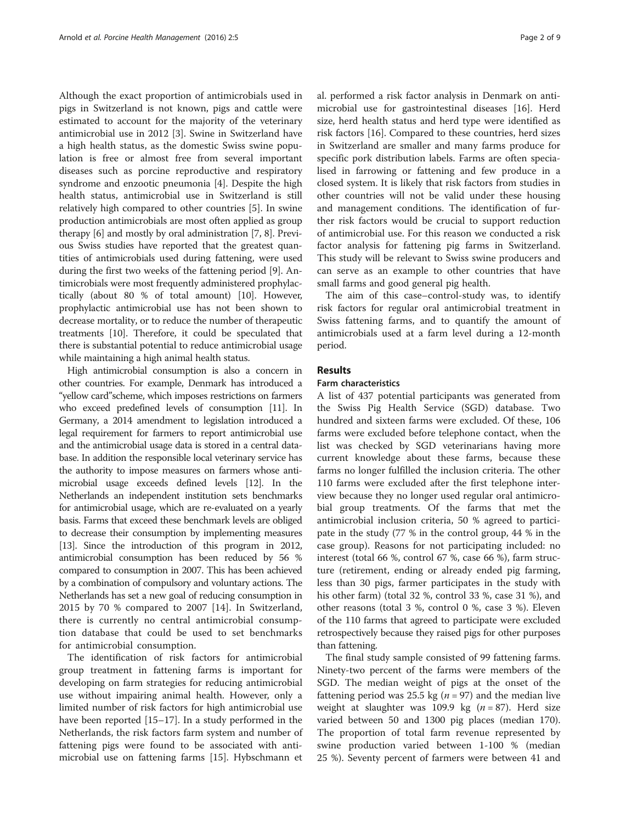Although the exact proportion of antimicrobials used in pigs in Switzerland is not known, pigs and cattle were estimated to account for the majority of the veterinary antimicrobial use in 2012 [[3](#page--1-0)]. Swine in Switzerland have a high health status, as the domestic Swiss swine population is free or almost free from several important diseases such as porcine reproductive and respiratory syndrome and enzootic pneumonia [[4\]](#page--1-0). Despite the high health status, antimicrobial use in Switzerland is still relatively high compared to other countries [\[5](#page--1-0)]. In swine production antimicrobials are most often applied as group therapy [\[6](#page--1-0)] and mostly by oral administration [\[7](#page--1-0), [8\]](#page--1-0). Previous Swiss studies have reported that the greatest quantities of antimicrobials used during fattening, were used during the first two weeks of the fattening period [[9\]](#page--1-0). Antimicrobials were most frequently administered prophylactically (about 80 % of total amount) [[10](#page--1-0)]. However, prophylactic antimicrobial use has not been shown to decrease mortality, or to reduce the number of therapeutic treatments [\[10\]](#page--1-0). Therefore, it could be speculated that there is substantial potential to reduce antimicrobial usage while maintaining a high animal health status.

High antimicrobial consumption is also a concern in other countries. For example, Denmark has introduced a "yellow card"scheme, which imposes restrictions on farmers who exceed predefined levels of consumption [[11\]](#page--1-0). In Germany, a 2014 amendment to legislation introduced a legal requirement for farmers to report antimicrobial use and the antimicrobial usage data is stored in a central database. In addition the responsible local veterinary service has the authority to impose measures on farmers whose antimicrobial usage exceeds defined levels [\[12](#page--1-0)]. In the Netherlands an independent institution sets benchmarks for antimicrobial usage, which are re-evaluated on a yearly basis. Farms that exceed these benchmark levels are obliged to decrease their consumption by implementing measures [[13](#page--1-0)]. Since the introduction of this program in 2012, antimicrobial consumption has been reduced by 56 % compared to consumption in 2007. This has been achieved by a combination of compulsory and voluntary actions. The Netherlands has set a new goal of reducing consumption in 2015 by 70 % compared to 2007 [[14\]](#page--1-0). In Switzerland, there is currently no central antimicrobial consumption database that could be used to set benchmarks for antimicrobial consumption.

The identification of risk factors for antimicrobial group treatment in fattening farms is important for developing on farm strategies for reducing antimicrobial use without impairing animal health. However, only a limited number of risk factors for high antimicrobial use have been reported [\[15](#page--1-0)–[17\]](#page--1-0). In a study performed in the Netherlands, the risk factors farm system and number of fattening pigs were found to be associated with antimicrobial use on fattening farms [[15](#page--1-0)]. Hybschmann et al. performed a risk factor analysis in Denmark on antimicrobial use for gastrointestinal diseases [[16](#page--1-0)]. Herd size, herd health status and herd type were identified as risk factors [\[16\]](#page--1-0). Compared to these countries, herd sizes in Switzerland are smaller and many farms produce for specific pork distribution labels. Farms are often specialised in farrowing or fattening and few produce in a closed system. It is likely that risk factors from studies in other countries will not be valid under these housing and management conditions. The identification of further risk factors would be crucial to support reduction of antimicrobial use. For this reason we conducted a risk factor analysis for fattening pig farms in Switzerland. This study will be relevant to Swiss swine producers and can serve as an example to other countries that have small farms and good general pig health.

The aim of this case–control-study was, to identify risk factors for regular oral antimicrobial treatment in Swiss fattening farms, and to quantify the amount of antimicrobials used at a farm level during a 12-month period.

## Results

## Farm characteristics

A list of 437 potential participants was generated from the Swiss Pig Health Service (SGD) database. Two hundred and sixteen farms were excluded. Of these, 106 farms were excluded before telephone contact, when the list was checked by SGD veterinarians having more current knowledge about these farms, because these farms no longer fulfilled the inclusion criteria. The other 110 farms were excluded after the first telephone interview because they no longer used regular oral antimicrobial group treatments. Of the farms that met the antimicrobial inclusion criteria, 50 % agreed to participate in the study (77 % in the control group, 44 % in the case group). Reasons for not participating included: no interest (total 66 %, control 67 %, case 66 %), farm structure (retirement, ending or already ended pig farming, less than 30 pigs, farmer participates in the study with his other farm) (total 32 %, control 33 %, case 31 %), and other reasons (total 3 %, control 0 %, case 3 %). Eleven of the 110 farms that agreed to participate were excluded retrospectively because they raised pigs for other purposes than fattening.

The final study sample consisted of 99 fattening farms. Ninety-two percent of the farms were members of the SGD. The median weight of pigs at the onset of the fattening period was 25.5 kg ( $n = 97$ ) and the median live weight at slaughter was 109.9 kg  $(n = 87)$ . Herd size varied between 50 and 1300 pig places (median 170). The proportion of total farm revenue represented by swine production varied between 1-100 % (median 25 %). Seventy percent of farmers were between 41 and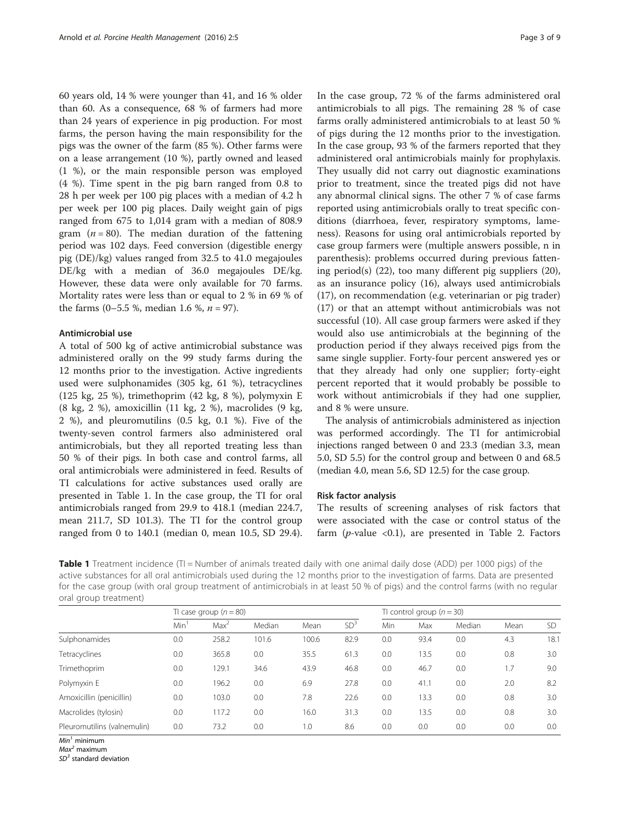60 years old, 14 % were younger than 41, and 16 % older than 60. As a consequence, 68 % of farmers had more than 24 years of experience in pig production. For most farms, the person having the main responsibility for the pigs was the owner of the farm (85 %). Other farms were on a lease arrangement (10 %), partly owned and leased (1 %), or the main responsible person was employed (4 %). Time spent in the pig barn ranged from 0.8 to 28 h per week per 100 pig places with a median of 4.2 h per week per 100 pig places. Daily weight gain of pigs ranged from 675 to 1,014 gram with a median of 808.9 gram ( $n = 80$ ). The median duration of the fattening period was 102 days. Feed conversion (digestible energy pig (DE)/kg) values ranged from 32.5 to 41.0 megajoules DE/kg with a median of 36.0 megajoules DE/kg. However, these data were only available for 70 farms. Mortality rates were less than or equal to 2 % in 69 % of the farms  $(0-5.5 \, %$ , median 1.6 %,  $n = 97$ ).

## Antimicrobial use

A total of 500 kg of active antimicrobial substance was administered orally on the 99 study farms during the 12 months prior to the investigation. Active ingredients used were sulphonamides (305 kg, 61 %), tetracyclines (125 kg, 25 %), trimethoprim (42 kg, 8 %), polymyxin E (8 kg, 2 %), amoxicillin (11 kg, 2 %), macrolides (9 kg, 2 %), and pleuromutilins (0.5 kg, 0.1 %). Five of the twenty-seven control farmers also administered oral antimicrobials, but they all reported treating less than 50 % of their pigs. In both case and control farms, all oral antimicrobials were administered in feed. Results of TI calculations for active substances used orally are presented in Table 1. In the case group, the TI for oral antimicrobials ranged from 29.9 to 418.1 (median 224.7, mean 211.7, SD 101.3). The TI for the control group ranged from 0 to 140.1 (median 0, mean 10.5, SD 29.4).

In the case group, 72 % of the farms administered oral antimicrobials to all pigs. The remaining 28 % of case farms orally administered antimicrobials to at least 50 % of pigs during the 12 months prior to the investigation. In the case group, 93 % of the farmers reported that they administered oral antimicrobials mainly for prophylaxis. They usually did not carry out diagnostic examinations prior to treatment, since the treated pigs did not have any abnormal clinical signs. The other 7 % of case farms reported using antimicrobials orally to treat specific conditions (diarrhoea, fever, respiratory symptoms, lameness). Reasons for using oral antimicrobials reported by case group farmers were (multiple answers possible, n in parenthesis): problems occurred during previous fattening period(s) (22), too many different pig suppliers (20), as an insurance policy (16), always used antimicrobials (17), on recommendation (e.g. veterinarian or pig trader) (17) or that an attempt without antimicrobials was not successful (10). All case group farmers were asked if they would also use antimicrobials at the beginning of the production period if they always received pigs from the same single supplier. Forty-four percent answered yes or that they already had only one supplier; forty-eight percent reported that it would probably be possible to work without antimicrobials if they had one supplier, and 8 % were unsure.

The analysis of antimicrobials administered as injection was performed accordingly. The TI for antimicrobial injections ranged between 0 and 23.3 (median 3.3, mean 5.0, SD 5.5) for the control group and between 0 and 68.5 (median 4.0, mean 5.6, SD 12.5) for the case group.

## Risk factor analysis

The results of screening analyses of risk factors that were associated with the case or control status of the farm  $(p$ -value <0.1), are presented in Table [2.](#page-3-0) Factors

Table 1 Treatment incidence (TI = Number of animals treated daily with one animal daily dose (ADD) per 1000 pigs) of the active substances for all oral antimicrobials used during the 12 months prior to the investigation of farms. Data are presented for the case group (with oral group treatment of antimicrobials in at least 50 % of pigs) and the control farms (with no regular oral group treatment)

|                             | Tl case group $(n = 80)$ |         |        |       | To control group ( $n = 30$ ) |     |      |        |      |           |
|-----------------------------|--------------------------|---------|--------|-------|-------------------------------|-----|------|--------|------|-----------|
|                             | Min                      | $Max^2$ | Median | Mean  | SD <sup>3</sup>               | Min | Max  | Median | Mean | <b>SD</b> |
| Sulphonamides               | 0.0                      | 258.2   | 101.6  | 100.6 | 82.9                          | 0.0 | 93.4 | 0.0    | 4.3  | 18.1      |
| Tetracyclines               | 0.0                      | 365.8   | 0.0    | 35.5  | 61.3                          | 0.0 | 13.5 | 0.0    | 0.8  | 3.0       |
| Trimethoprim                | 0.0                      | 129.1   | 34.6   | 43.9  | 46.8                          | 0.0 | 46.7 | 0.0    | 1.7  | 9.0       |
| Polymyxin E                 | 0.0                      | 196.2   | 0.0    | 6.9   | 27.8                          | 0.0 | 41.1 | 0.0    | 2.0  | 8.2       |
| Amoxicillin (penicillin)    | 0.0                      | 103.0   | 0.0    | 7.8   | 22.6                          | 0.0 | 13.3 | 0.0    | 0.8  | 3.0       |
| Macrolides (tylosin)        | 0.0                      | 117.2   | 0.0    | 16.0  | 31.3                          | 0.0 | 13.5 | 0.0    | 0.8  | 3.0       |
| Pleuromutilins (valnemulin) | 0.0                      | 73.2    | 0.0    | 1.0   | 8.6                           | 0.0 | 0.0  | 0.0    | 0.0  | 0.0       |

Min' minimum<br><sup>Mav</sub>2</sup> maximun

*Max<sup>2</sup>* maximum<br>SD<sup>3</sup> standard de

 $SD<sup>3</sup>$  standard deviation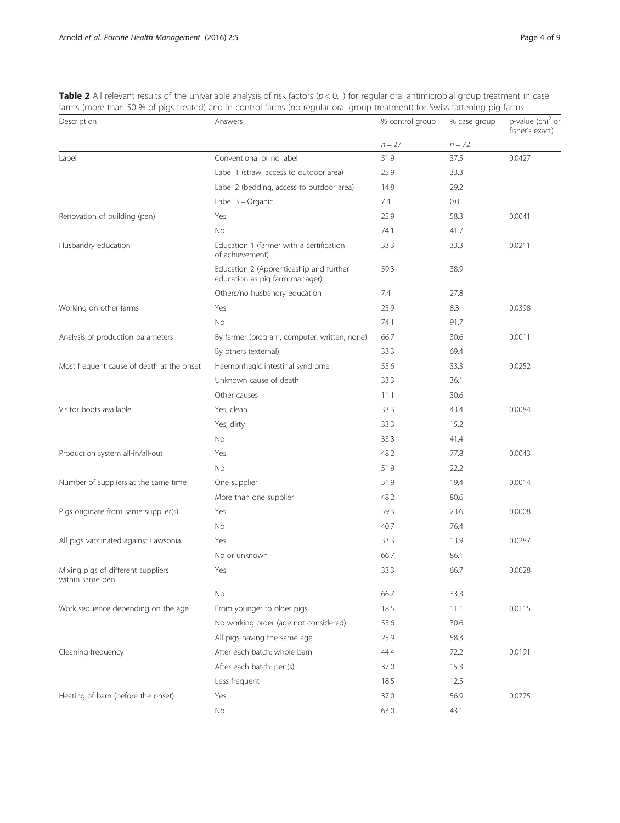<span id="page-3-0"></span>Table 2 All relevant results of the univariable analysis of risk factors  $(p < 0.1)$  for regular oral antimicrobial group treatment in case farms (more than 50 % of pigs treated) and in control farms (no regular oral group treatment) for Swiss fattening pig farms

| Description                                           | Answers                                                                   | % control group | % case group | p-value (chi <sup>2</sup> or<br>fisher's exact) |  |
|-------------------------------------------------------|---------------------------------------------------------------------------|-----------------|--------------|-------------------------------------------------|--|
|                                                       |                                                                           | $n = 27$        | $n = 72$     |                                                 |  |
| Label                                                 | Conventional or no label                                                  | 51.9            | 37.5         | 0.0427                                          |  |
|                                                       | Label 1 (straw, access to outdoor area)                                   | 25.9            | 33.3         |                                                 |  |
|                                                       | Label 2 (bedding, access to outdoor area)                                 | 14.8            | 29.2         |                                                 |  |
|                                                       | Label $3 =$ Organic                                                       | 7.4             | 0.0          |                                                 |  |
| Renovation of building (pen)                          | Yes                                                                       | 25.9            | 58.3         | 0.0041                                          |  |
|                                                       | No                                                                        | 74.1            | 41.7         |                                                 |  |
| Husbandry education                                   | Education 1 (farmer with a certification<br>of achievement)               | 33.3            | 33.3         | 0.0211                                          |  |
|                                                       | Education 2 (Apprenticeship and further<br>education as pig farm manager) | 59.3            | 38.9         |                                                 |  |
|                                                       | Others/no husbandry education                                             | 7.4             | 27.8         |                                                 |  |
| Working on other farms                                | Yes                                                                       | 25.9            | 8.3          | 0.0398                                          |  |
|                                                       | No                                                                        | 74.1            | 91.7         |                                                 |  |
| Analysis of production parameters                     | By farmer (program, computer, written, none)                              | 66.7            | 30.6         | 0.0011                                          |  |
|                                                       | By others (external)                                                      | 33.3            | 69.4         |                                                 |  |
| Most frequent cause of death at the onset             | Haemorrhagic intestinal syndrome                                          | 55.6            | 33.3         | 0.0252                                          |  |
|                                                       | Unknown cause of death                                                    | 33.3            | 36.1         |                                                 |  |
|                                                       | Other causes                                                              | 11.1            | 30.6         |                                                 |  |
| Visitor boots available                               | Yes, clean                                                                | 33.3            | 43.4         | 0.0084                                          |  |
|                                                       | Yes, dirty                                                                | 33.3            | 15.2         |                                                 |  |
|                                                       | No                                                                        | 33.3            | 41.4         |                                                 |  |
| Production system all-in/all-out                      | Yes                                                                       | 48.2            | 77.8         | 0.0043                                          |  |
|                                                       | No                                                                        | 51.9            | 22.2         |                                                 |  |
| Number of suppliers at the same time                  | One supplier                                                              | 51.9            | 19.4         | 0.0014                                          |  |
|                                                       | More than one supplier                                                    | 48.2            | 80.6         |                                                 |  |
| Pigs originate from same supplier(s)                  | Yes                                                                       | 59.3            | 23.6         | 0.0008                                          |  |
|                                                       | No                                                                        | 40.7            | 76.4         |                                                 |  |
| All pigs vaccinated against Lawsonia                  | Yes                                                                       | 33.3            | 13.9         | 0.0287                                          |  |
|                                                       | No or unknown                                                             | 66.7            | 86.1         |                                                 |  |
| Mixing pigs of different suppliers<br>within same pen | Yes                                                                       | 33.3            | 66.7         | 0.0028                                          |  |
|                                                       | No                                                                        | 66.7            | 33.3         |                                                 |  |
| Work sequence depending on the age                    | From younger to older pigs                                                | 18.5            | 11.1         | 0.0115                                          |  |
|                                                       | No working order (age not considered)                                     | 55.6            | 30.6         |                                                 |  |
|                                                       | All pigs having the same age                                              | 25.9            | 58.3         |                                                 |  |
| Cleaning frequency                                    | After each batch: whole barn                                              | 44.4            | 72.2         | 0.0191                                          |  |
|                                                       | After each batch: pen(s)                                                  | 37.0            | 15.3         |                                                 |  |
|                                                       | Less frequent                                                             | 18.5            | 12.5         |                                                 |  |
| Heating of barn (before the onset)                    | Yes                                                                       | 37.0            | 56.9         | 0.0775                                          |  |
|                                                       | No                                                                        | 63.0            | 43.1         |                                                 |  |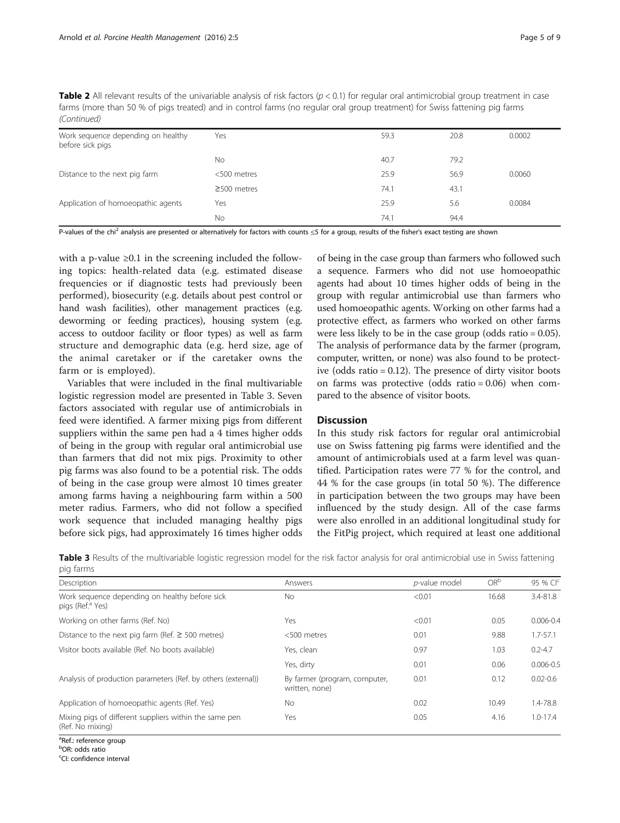**Table 2** All relevant results of the univariable analysis of risk factors ( $p < 0.1$ ) for regular oral antimicrobial group treatment in case farms (more than 50 % of pigs treated) and in control farms (no regular oral group treatment) for Swiss fattening pig farms (Continued)

| Work sequence depending on healthy<br>before sick pigs | Yes               | 59.3 | 20.8 | 0.0002 |
|--------------------------------------------------------|-------------------|------|------|--------|
|                                                        | No                | 40.7 | 79.2 |        |
| Distance to the next pig farm                          | <500 metres       | 25.9 | 56.9 | 0.0060 |
|                                                        | $\geq$ 500 metres | 74.1 | 43.1 |        |
| Application of homoeopathic agents                     | Yes               | 25.9 | 5.6  | 0.0084 |
|                                                        | No                | 74.  | 94.4 |        |

P-values of the chi<sup>2</sup> analysis are presented or alternatively for factors with counts ≤5 for a group, results of the fisher's exact testing are shown

with a p-value  $\geq 0.1$  in the screening included the following topics: health-related data (e.g. estimated disease frequencies or if diagnostic tests had previously been performed), biosecurity (e.g. details about pest control or hand wash facilities), other management practices (e.g. deworming or feeding practices), housing system (e.g. access to outdoor facility or floor types) as well as farm structure and demographic data (e.g. herd size, age of the animal caretaker or if the caretaker owns the farm or is employed).

Variables that were included in the final multivariable logistic regression model are presented in Table 3. Seven factors associated with regular use of antimicrobials in feed were identified. A farmer mixing pigs from different suppliers within the same pen had a 4 times higher odds of being in the group with regular oral antimicrobial use than farmers that did not mix pigs. Proximity to other pig farms was also found to be a potential risk. The odds of being in the case group were almost 10 times greater among farms having a neighbouring farm within a 500 meter radius. Farmers, who did not follow a specified work sequence that included managing healthy pigs before sick pigs, had approximately 16 times higher odds

of being in the case group than farmers who followed such a sequence. Farmers who did not use homoeopathic agents had about 10 times higher odds of being in the group with regular antimicrobial use than farmers who used homoeopathic agents. Working on other farms had a protective effect, as farmers who worked on other farms were less likely to be in the case group (odds ratio = 0.05). The analysis of performance data by the farmer (program, computer, written, or none) was also found to be protective (odds ratio = 0.12). The presence of dirty visitor boots on farms was protective (odds ratio = 0.06) when compared to the absence of visitor boots.

## **Discussion**

In this study risk factors for regular oral antimicrobial use on Swiss fattening pig farms were identified and the amount of antimicrobials used at a farm level was quantified. Participation rates were 77 % for the control, and 44 % for the case groups (in total 50 %). The difference in participation between the two groups may have been influenced by the study design. All of the case farms were also enrolled in an additional longitudinal study for the FitPig project, which required at least one additional

Table 3 Results of the multivariable logistic regression model for the risk factor analysis for oral antimicrobial use in Swiss fattening pig farms

| Description                                                                    | Answers                                         | p-value model | OR <sup>b</sup> | 95 % CI <sup>c</sup> |
|--------------------------------------------------------------------------------|-------------------------------------------------|---------------|-----------------|----------------------|
| Work sequence depending on healthy before sick<br>pigs (Ref. <sup>a</sup> Yes) | No.                                             | < 0.01        | 16.68           | 3.4-81.8             |
| Working on other farms (Ref. No)                                               | Yes                                             | < 0.01        | 0.05            | $0.006 - 0.4$        |
| Distance to the next pig farm (Ref. $\geq$ 500 metres)                         | <500 metres                                     | 0.01          | 9.88            | $1.7 - 57.1$         |
| Visitor boots available (Ref. No boots available)                              | Yes, clean                                      | 0.97          | 1.03            | $0.2 - 4.7$          |
|                                                                                | Yes, dirty                                      | 0.01          | 0.06            | $0.006 - 0.5$        |
| Analysis of production parameters (Ref. by others (external))                  | By farmer (program, computer,<br>written, none) | 0.01          | 0.12            | $0.02 - 0.6$         |
| Application of homoeopathic agents (Ref. Yes)                                  | No                                              | 0.02          | 10.49           | 1.4-78.8             |
| Mixing pigs of different suppliers within the same pen<br>(Ref. No mixing)     | Yes                                             | 0.05          | 4.16            | $1.0 - 17.4$         |

<sup>a</sup>Ref.: reference group

<sup>b</sup>OR: odds ratio

<sup>c</sup>CI: confidence interval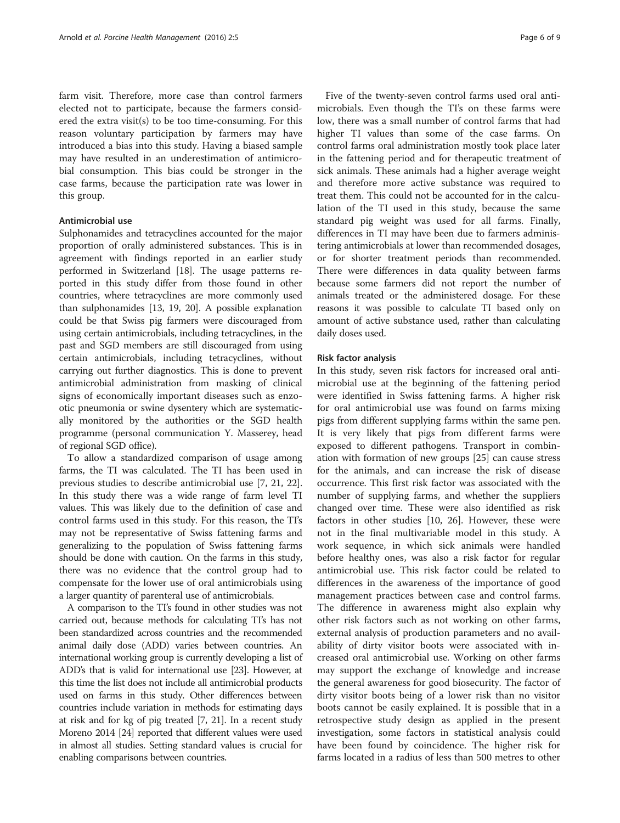farm visit. Therefore, more case than control farmers elected not to participate, because the farmers considered the extra visit(s) to be too time-consuming. For this reason voluntary participation by farmers may have introduced a bias into this study. Having a biased sample may have resulted in an underestimation of antimicrobial consumption. This bias could be stronger in the case farms, because the participation rate was lower in this group.

## Antimicrobial use

Sulphonamides and tetracyclines accounted for the major proportion of orally administered substances. This is in agreement with findings reported in an earlier study performed in Switzerland [\[18\]](#page--1-0). The usage patterns reported in this study differ from those found in other countries, where tetracyclines are more commonly used than sulphonamides [\[13, 19, 20\]](#page--1-0). A possible explanation could be that Swiss pig farmers were discouraged from using certain antimicrobials, including tetracyclines, in the past and SGD members are still discouraged from using certain antimicrobials, including tetracyclines, without carrying out further diagnostics. This is done to prevent antimicrobial administration from masking of clinical signs of economically important diseases such as enzootic pneumonia or swine dysentery which are systematically monitored by the authorities or the SGD health programme (personal communication Y. Masserey, head of regional SGD office).

To allow a standardized comparison of usage among farms, the TI was calculated. The TI has been used in previous studies to describe antimicrobial use [[7, 21](#page--1-0), [22](#page--1-0)]. In this study there was a wide range of farm level TI values. This was likely due to the definition of case and control farms used in this study. For this reason, the TI's may not be representative of Swiss fattening farms and generalizing to the population of Swiss fattening farms should be done with caution. On the farms in this study, there was no evidence that the control group had to compensate for the lower use of oral antimicrobials using a larger quantity of parenteral use of antimicrobials.

A comparison to the TI's found in other studies was not carried out, because methods for calculating TI's has not been standardized across countries and the recommended animal daily dose (ADD) varies between countries. An international working group is currently developing a list of ADD's that is valid for international use [[23](#page--1-0)]. However, at this time the list does not include all antimicrobial products used on farms in this study. Other differences between countries include variation in methods for estimating days at risk and for kg of pig treated [[7](#page--1-0), [21](#page--1-0)]. In a recent study Moreno 2014 [[24](#page--1-0)] reported that different values were used in almost all studies. Setting standard values is crucial for enabling comparisons between countries.

Five of the twenty-seven control farms used oral antimicrobials. Even though the TI's on these farms were low, there was a small number of control farms that had higher TI values than some of the case farms. On control farms oral administration mostly took place later in the fattening period and for therapeutic treatment of sick animals. These animals had a higher average weight and therefore more active substance was required to treat them. This could not be accounted for in the calculation of the TI used in this study, because the same standard pig weight was used for all farms. Finally, differences in TI may have been due to farmers administering antimicrobials at lower than recommended dosages, or for shorter treatment periods than recommended. There were differences in data quality between farms because some farmers did not report the number of animals treated or the administered dosage. For these reasons it was possible to calculate TI based only on amount of active substance used, rather than calculating daily doses used.

## Risk factor analysis

In this study, seven risk factors for increased oral antimicrobial use at the beginning of the fattening period were identified in Swiss fattening farms. A higher risk for oral antimicrobial use was found on farms mixing pigs from different supplying farms within the same pen. It is very likely that pigs from different farms were exposed to different pathogens. Transport in combination with formation of new groups [\[25](#page--1-0)] can cause stress for the animals, and can increase the risk of disease occurrence. This first risk factor was associated with the number of supplying farms, and whether the suppliers changed over time. These were also identified as risk factors in other studies [\[10, 26\]](#page--1-0). However, these were not in the final multivariable model in this study. A work sequence, in which sick animals were handled before healthy ones, was also a risk factor for regular antimicrobial use. This risk factor could be related to differences in the awareness of the importance of good management practices between case and control farms. The difference in awareness might also explain why other risk factors such as not working on other farms, external analysis of production parameters and no availability of dirty visitor boots were associated with increased oral antimicrobial use. Working on other farms may support the exchange of knowledge and increase the general awareness for good biosecurity. The factor of dirty visitor boots being of a lower risk than no visitor boots cannot be easily explained. It is possible that in a retrospective study design as applied in the present investigation, some factors in statistical analysis could have been found by coincidence. The higher risk for farms located in a radius of less than 500 metres to other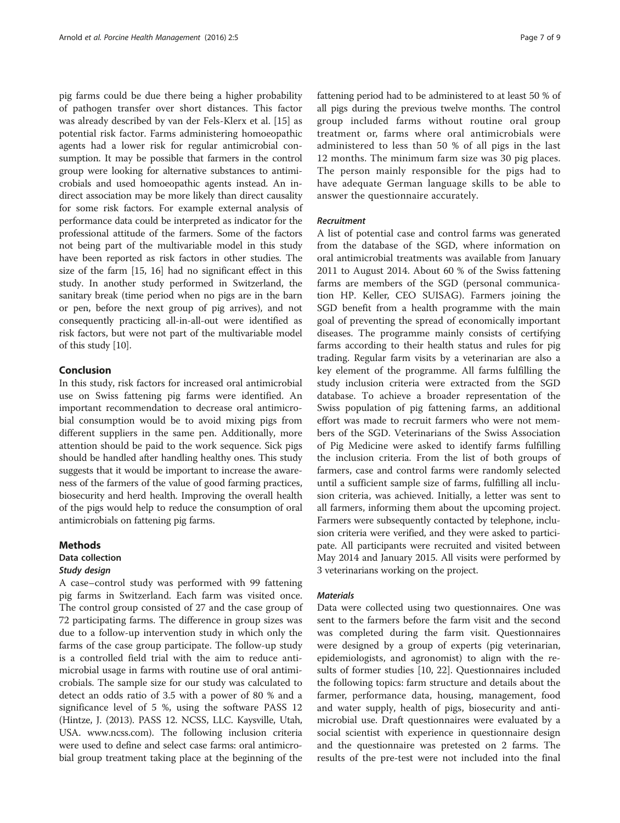pig farms could be due there being a higher probability of pathogen transfer over short distances. This factor was already described by van der Fels-Klerx et al. [\[15\]](#page--1-0) as potential risk factor. Farms administering homoeopathic agents had a lower risk for regular antimicrobial consumption. It may be possible that farmers in the control group were looking for alternative substances to antimicrobials and used homoeopathic agents instead. An indirect association may be more likely than direct causality for some risk factors. For example external analysis of performance data could be interpreted as indicator for the professional attitude of the farmers. Some of the factors not being part of the multivariable model in this study have been reported as risk factors in other studies. The size of the farm [\[15, 16](#page--1-0)] had no significant effect in this study. In another study performed in Switzerland, the sanitary break (time period when no pigs are in the barn or pen, before the next group of pig arrives), and not consequently practicing all-in-all-out were identified as risk factors, but were not part of the multivariable model of this study [\[10](#page--1-0)].

## Conclusion

In this study, risk factors for increased oral antimicrobial use on Swiss fattening pig farms were identified. An important recommendation to decrease oral antimicrobial consumption would be to avoid mixing pigs from different suppliers in the same pen. Additionally, more attention should be paid to the work sequence. Sick pigs should be handled after handling healthy ones. This study suggests that it would be important to increase the awareness of the farmers of the value of good farming practices, biosecurity and herd health. Improving the overall health of the pigs would help to reduce the consumption of oral antimicrobials on fattening pig farms.

## Methods

Data collection Study design

## A case–control study was performed with 99 fattening pig farms in Switzerland. Each farm was visited once. The control group consisted of 27 and the case group of 72 participating farms. The difference in group sizes was due to a follow-up intervention study in which only the farms of the case group participate. The follow-up study is a controlled field trial with the aim to reduce antimicrobial usage in farms with routine use of oral antimicrobials. The sample size for our study was calculated to detect an odds ratio of 3.5 with a power of 80 % and a significance level of 5 %, using the software PASS 12 (Hintze, J. (2013). PASS 12. NCSS, LLC. Kaysville, Utah, USA. [www.ncss.com\)](http://www.ncss.com). The following inclusion criteria were used to define and select case farms: oral antimicrobial group treatment taking place at the beginning of the

fattening period had to be administered to at least 50 % of all pigs during the previous twelve months. The control group included farms without routine oral group treatment or, farms where oral antimicrobials were administered to less than 50 % of all pigs in the last 12 months. The minimum farm size was 30 pig places. The person mainly responsible for the pigs had to have adequate German language skills to be able to answer the questionnaire accurately.

## Recruitment

A list of potential case and control farms was generated from the database of the SGD, where information on oral antimicrobial treatments was available from January 2011 to August 2014. About 60 % of the Swiss fattening farms are members of the SGD (personal communication HP. Keller, CEO SUISAG). Farmers joining the SGD benefit from a health programme with the main goal of preventing the spread of economically important diseases. The programme mainly consists of certifying farms according to their health status and rules for pig trading. Regular farm visits by a veterinarian are also a key element of the programme. All farms fulfilling the study inclusion criteria were extracted from the SGD database. To achieve a broader representation of the Swiss population of pig fattening farms, an additional effort was made to recruit farmers who were not members of the SGD. Veterinarians of the Swiss Association of Pig Medicine were asked to identify farms fulfilling the inclusion criteria. From the list of both groups of farmers, case and control farms were randomly selected until a sufficient sample size of farms, fulfilling all inclusion criteria, was achieved. Initially, a letter was sent to all farmers, informing them about the upcoming project. Farmers were subsequently contacted by telephone, inclusion criteria were verified, and they were asked to participate. All participants were recruited and visited between May 2014 and January 2015. All visits were performed by 3 veterinarians working on the project.

## **Materials**

Data were collected using two questionnaires. One was sent to the farmers before the farm visit and the second was completed during the farm visit. Questionnaires were designed by a group of experts (pig veterinarian, epidemiologists, and agronomist) to align with the results of former studies [\[10](#page--1-0), [22\]](#page--1-0). Questionnaires included the following topics: farm structure and details about the farmer, performance data, housing, management, food and water supply, health of pigs, biosecurity and antimicrobial use. Draft questionnaires were evaluated by a social scientist with experience in questionnaire design and the questionnaire was pretested on 2 farms. The results of the pre-test were not included into the final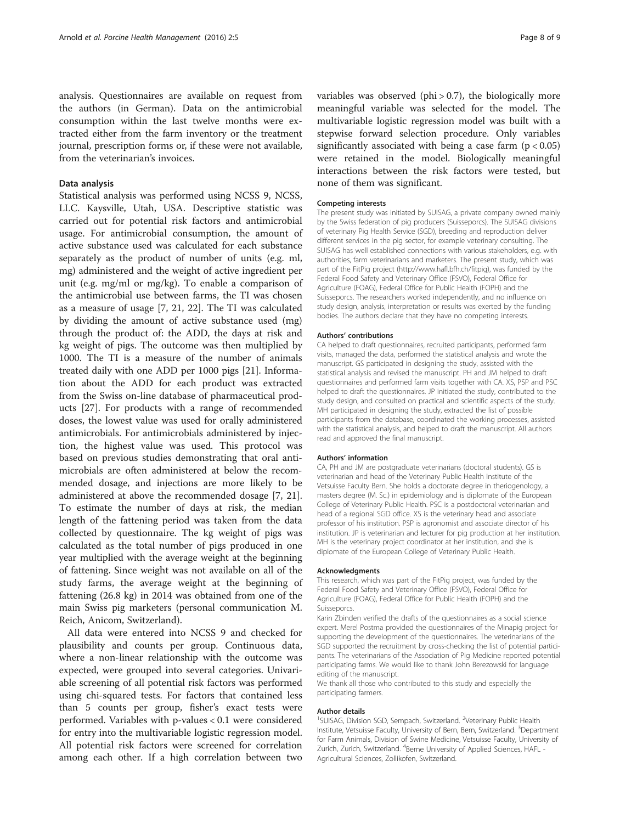analysis. Questionnaires are available on request from the authors (in German). Data on the antimicrobial consumption within the last twelve months were extracted either from the farm inventory or the treatment journal, prescription forms or, if these were not available, from the veterinarian's invoices.

## Data analysis

Statistical analysis was performed using NCSS 9, NCSS, LLC. Kaysville, Utah, USA. Descriptive statistic was carried out for potential risk factors and antimicrobial usage. For antimicrobial consumption, the amount of active substance used was calculated for each substance separately as the product of number of units (e.g. ml, mg) administered and the weight of active ingredient per unit (e.g. mg/ml or mg/kg). To enable a comparison of the antimicrobial use between farms, the TI was chosen as a measure of usage [\[7](#page--1-0), [21, 22](#page--1-0)]. The TI was calculated by dividing the amount of active substance used (mg) through the product of: the ADD, the days at risk and kg weight of pigs. The outcome was then multiplied by 1000. The TI is a measure of the number of animals treated daily with one ADD per 1000 pigs [[21\]](#page--1-0). Information about the ADD for each product was extracted from the Swiss on-line database of pharmaceutical products [\[27](#page--1-0)]. For products with a range of recommended doses, the lowest value was used for orally administered antimicrobials. For antimicrobials administered by injection, the highest value was used. This protocol was based on previous studies demonstrating that oral antimicrobials are often administered at below the recommended dosage, and injections are more likely to be administered at above the recommended dosage [[7, 21](#page--1-0)]. To estimate the number of days at risk, the median length of the fattening period was taken from the data collected by questionnaire. The kg weight of pigs was calculated as the total number of pigs produced in one year multiplied with the average weight at the beginning of fattening. Since weight was not available on all of the study farms, the average weight at the beginning of fattening (26.8 kg) in 2014 was obtained from one of the main Swiss pig marketers (personal communication M. Reich, Anicom, Switzerland).

All data were entered into NCSS 9 and checked for plausibility and counts per group. Continuous data, where a non-linear relationship with the outcome was expected, were grouped into several categories. Univariable screening of all potential risk factors was performed using chi-squared tests. For factors that contained less than 5 counts per group, fisher's exact tests were performed. Variables with p-values < 0.1 were considered for entry into the multivariable logistic regression model. All potential risk factors were screened for correlation among each other. If a high correlation between two

variables was observed (phi  $> 0.7$ ), the biologically more meaningful variable was selected for the model. The multivariable logistic regression model was built with a stepwise forward selection procedure. Only variables significantly associated with being a case farm  $(p < 0.05)$ were retained in the model. Biologically meaningful interactions between the risk factors were tested, but none of them was significant.

## Competing interests

The present study was initiated by SUISAG, a private company owned mainly by the Swiss federation of pig producers (Suisseporcs). The SUISAG divisions of veterinary Pig Health Service (SGD), breeding and reproduction deliver different services in the pig sector, for example veterinary consulting. The SUISAG has well established connections with various stakeholders, e.g. with authorities, farm veterinarians and marketers. The present study, which was part of the FitPig project [\(http://www.hafl.bfh.ch/fitpig](http://www.hafl.bfh.ch/fitpig)), was funded by the Federal Food Safety and Veterinary Office (FSVO), Federal Office for Agriculture (FOAG), Federal Office for Public Health (FOPH) and the Suisseporcs. The researchers worked independently, and no influence on study design, analysis, interpretation or results was exerted by the funding bodies. The authors declare that they have no competing interests.

#### Authors' contributions

CA helped to draft questionnaires, recruited participants, performed farm visits, managed the data, performed the statistical analysis and wrote the manuscript. GS participated in designing the study, assisted with the statistical analysis and revised the manuscript. PH and JM helped to draft questionnaires and performed farm visits together with CA. XS, PSP and PSC helped to draft the questionnaires. JP initiated the study, contributed to the study design, and consulted on practical and scientific aspects of the study. MH participated in designing the study, extracted the list of possible participants from the database, coordinated the working processes, assisted with the statistical analysis, and helped to draft the manuscript. All authors read and approved the final manuscript.

#### Authors' information

CA, PH and JM are postgraduate veterinarians (doctoral students). GS is veterinarian and head of the Veterinary Public Health Institute of the Vetsuisse Faculty Bern. She holds a doctorate degree in theriogenology, a masters degree (M. Sc.) in epidemiology and is diplomate of the European College of Veterinary Public Health. PSC is a postdoctoral veterinarian and head of a regional SGD office. XS is the veterinary head and associate professor of his institution. PSP is agronomist and associate director of his institution. JP is veterinarian and lecturer for pig production at her institution. MH is the veterinary project coordinator at her institution, and she is diplomate of the European College of Veterinary Public Health.

#### Acknowledgments

This research, which was part of the FitPig project, was funded by the Federal Food Safety and Veterinary Office (FSVO), Federal Office for Agriculture (FOAG), Federal Office for Public Health (FOPH) and the Suisseporcs.

Karin Zbinden verified the drafts of the questionnaires as a social science expert. Merel Postma provided the questionnaires of the Minapig project for supporting the development of the questionnaires. The veterinarians of the SGD supported the recruitment by cross-checking the list of potential participants. The veterinarians of the Association of Pig Medicine reported potential participating farms. We would like to thank John Berezowski for language editing of the manuscript.

We thank all those who contributed to this study and especially the participating farmers.

#### Author details

<sup>1</sup>SUISAG, Division SGD, Sempach, Switzerland. <sup>2</sup>Veterinary Public Health Institute, Vetsuisse Faculty, University of Bern, Bern, Switzerland. <sup>3</sup>Department for Farm Animals, Division of Swine Medicine, Vetsuisse Faculty, University of Zurich, Zurich, Switzerland. <sup>4</sup>Berne University of Applied Sciences, HAFL -Agricultural Sciences, Zollikofen, Switzerland.